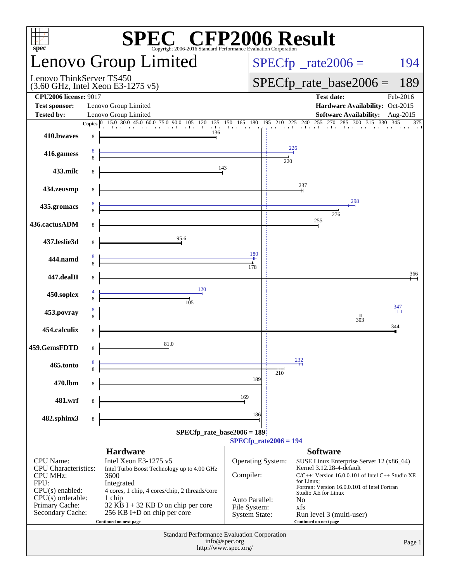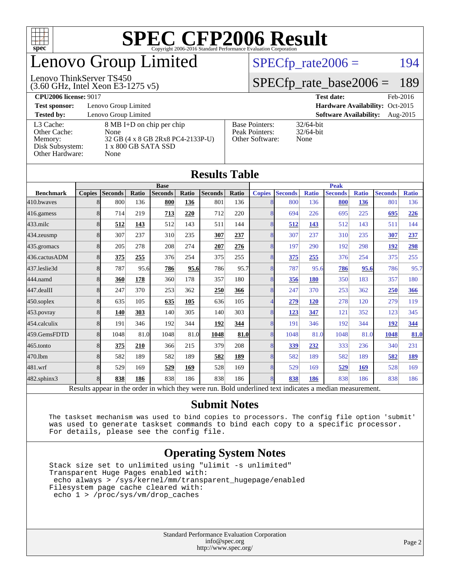

## enovo Group Limited

#### Lenovo ThinkServer TS450

 $SPECTp_rate2006 = 194$ 

#### [SPECfp\\_rate\\_base2006 =](http://www.spec.org/auto/cpu2006/Docs/result-fields.html#SPECfpratebase2006) 189

(3.60 GHz, Intel Xeon E3-1275 v5) **[CPU2006 license:](http://www.spec.org/auto/cpu2006/Docs/result-fields.html#CPU2006license)** 9017 **[Test date:](http://www.spec.org/auto/cpu2006/Docs/result-fields.html#Testdate)** Feb-2016

**[Test sponsor:](http://www.spec.org/auto/cpu2006/Docs/result-fields.html#Testsponsor)** Lenovo Group Limited **[Hardware Availability:](http://www.spec.org/auto/cpu2006/Docs/result-fields.html#HardwareAvailability)** Oct-2015

[Other Cache:](http://www.spec.org/auto/cpu2006/Docs/result-fields.html#OtherCache) [Other Hardware:](http://www.spec.org/auto/cpu2006/Docs/result-fields.html#OtherHardware) None

**[Tested by:](http://www.spec.org/auto/cpu2006/Docs/result-fields.html#Testedby)** Lenovo Group Limited **[Software Availability:](http://www.spec.org/auto/cpu2006/Docs/result-fields.html#SoftwareAvailability)** Aug-2015 [L3 Cache:](http://www.spec.org/auto/cpu2006/Docs/result-fields.html#L3Cache) 8 MB I+D on chip per chip<br>Other Cache: None [Memory:](http://www.spec.org/auto/cpu2006/Docs/result-fields.html#Memory) 32 GB (4 x 8 GB 2Rx8 PC4-2133P-U) [Disk Subsystem:](http://www.spec.org/auto/cpu2006/Docs/result-fields.html#DiskSubsystem) 1 x 800 GB SATA SSD

| <b>Base Pointers:</b><br>Peak Pointers: | $32/64$ -bit<br>$32/64$ -bit |
|-----------------------------------------|------------------------------|
| Other Software:                         | None                         |
|                                         |                              |

None

| <b>Results Table</b>                                                                                     |                |                |       |                |       |                |             |               |                |              |                |              |                |              |
|----------------------------------------------------------------------------------------------------------|----------------|----------------|-------|----------------|-------|----------------|-------------|---------------|----------------|--------------|----------------|--------------|----------------|--------------|
|                                                                                                          |                | <b>Base</b>    |       |                |       |                | <b>Peak</b> |               |                |              |                |              |                |              |
| <b>Benchmark</b>                                                                                         | <b>Copies</b>  | <b>Seconds</b> | Ratio | <b>Seconds</b> | Ratio | <b>Seconds</b> | Ratio       | <b>Copies</b> | <b>Seconds</b> | <b>Ratio</b> | <b>Seconds</b> | <b>Ratio</b> | <b>Seconds</b> | <b>Ratio</b> |
| 410.bwaves                                                                                               | 8              | 800            | 136   | 800            | 136   | 801            | 136         |               | 800            | 136          | 800            | 136          | 801            | 136          |
| 416.gamess                                                                                               | 8              | 714            | 219   | 713            | 220   | 712            | 220         | 8             | 694            | 226          | 695            | 225          | 695            | 226          |
| $433$ .milc                                                                                              | 8              | 512            | 143   | 512            | 143   | 511            | 144         |               | 512            | 143          | 512            | 143          | 511            | 144          |
| 434.zeusmp                                                                                               | 8              | 307            | 237   | 310            | 235   | 307            | 237         | 8             | 307            | 237          | 310            | 235          | 307            | 237          |
| 435.gromacs                                                                                              | 8              | 205            | 278   | 208            | 274   | 207            | 276         | 8             | 197            | 290          | 192            | 298          | <u>192</u>     | 298          |
| 436.cactusADM                                                                                            | 8              | 375            | 255   | 376            | 254   | 375            | 255         | 8             | 375            | 255          | 376            | 254          | 375            | 255          |
| 437.leslie3d                                                                                             | 8              | 787            | 95.6  | 786            | 95.6  | 786            | 95.7        | 8             | 787            | 95.6         | 786            | 95.6         | 786            | 95.7         |
| 444.namd                                                                                                 | 8              | 360            | 178   | 360            | 178   | 357            | 180         | 8             | 356            | 180          | 350            | 183          | 357            | 180          |
| 447.dealII                                                                                               | 8              | 247            | 370   | 253            | 362   | 250            | 366         | 8             | 247            | 370          | 253            | 362          | 250            | 366          |
| 450.soplex                                                                                               | 8              | 635            | 105   | 635            | 105   | 636            | 105         | 4             | 279            | 120          | 278            | 120          | 279            | 119          |
| 453.povray                                                                                               | 8 <sup>1</sup> | 140            | 303   | 140            | 305   | 140            | 303         | 8             | 123            | 347          | 121            | 352          | 123            | 345          |
| 454.calculix                                                                                             | 8              | 191            | 346   | 192            | 344   | 192            | 344         | 8             | 191            | 346          | 192            | 344          | <u>192</u>     | 344          |
| 459.GemsFDTD                                                                                             | 8              | 1048           | 81.0  | 1048           | 81.0  | 1048           | 81.0        | 8             | 1048           | 81.0         | 1048           | 81.0         | 1048           | 81.0         |
| 465.tonto                                                                                                | 8              | 375            | 210   | 366            | 215   | 379            | 208         | 8             | 339            | 232          | 333            | 236          | 340            | 231          |
| 470.1bm                                                                                                  | 8              | 582            | 189   | 582            | 189   | 582            | 189         | 8             | 582            | 189          | 582            | 189          | 582            | <b>189</b>   |
| 481.wrf                                                                                                  | 8              | 529            | 169   | 529            | 169   | 528            | 169         | 8             | 529            | 169          | 529            | 169          | 528            | 169          |
| 482.sphinx3                                                                                              | $\mathbf{8}$   | 838            | 186   | 838            | 186   | 838            | 186         |               | 838            | 186          | 838            | 186          | 838            | 186          |
| Results appear in the order in which they were run. Bold underlined text indicates a median measurement. |                |                |       |                |       |                |             |               |                |              |                |              |                |              |

#### **[Submit Notes](http://www.spec.org/auto/cpu2006/Docs/result-fields.html#SubmitNotes)**

 The taskset mechanism was used to bind copies to processors. The config file option 'submit' was used to generate taskset commands to bind each copy to a specific processor. For details, please see the config file.

#### **[Operating System Notes](http://www.spec.org/auto/cpu2006/Docs/result-fields.html#OperatingSystemNotes)**

 Stack size set to unlimited using "ulimit -s unlimited" Transparent Huge Pages enabled with: echo always > /sys/kernel/mm/transparent\_hugepage/enabled Filesystem page cache cleared with: echo 1 > /proc/sys/vm/drop\_caches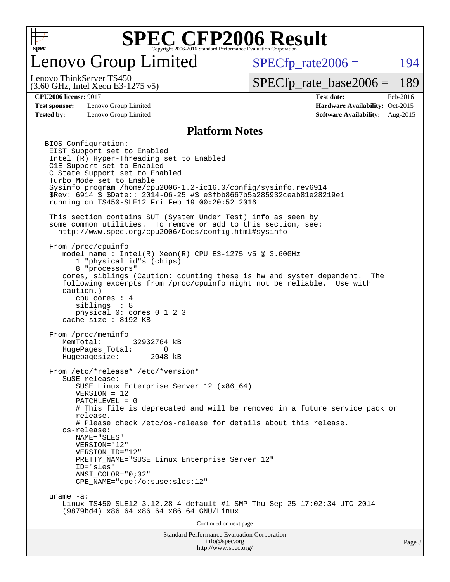

## enovo Group Limited

 $SPECTp\_rate2006 = 194$ 

(3.60 GHz, Intel Xeon E3-1275 v5) Lenovo ThinkServer TS450

[SPECfp\\_rate\\_base2006 =](http://www.spec.org/auto/cpu2006/Docs/result-fields.html#SPECfpratebase2006) 189

**[Test sponsor:](http://www.spec.org/auto/cpu2006/Docs/result-fields.html#Testsponsor)** Lenovo Group Limited **[Hardware Availability:](http://www.spec.org/auto/cpu2006/Docs/result-fields.html#HardwareAvailability)** Oct-2015

**[CPU2006 license:](http://www.spec.org/auto/cpu2006/Docs/result-fields.html#CPU2006license)** 9017 **[Test date:](http://www.spec.org/auto/cpu2006/Docs/result-fields.html#Testdate)** Feb-2016 **[Tested by:](http://www.spec.org/auto/cpu2006/Docs/result-fields.html#Testedby)** Lenovo Group Limited **[Software Availability:](http://www.spec.org/auto/cpu2006/Docs/result-fields.html#SoftwareAvailability)** Aug-2015

#### **[Platform Notes](http://www.spec.org/auto/cpu2006/Docs/result-fields.html#PlatformNotes)**

Standard Performance Evaluation Corporation [info@spec.org](mailto:info@spec.org) BIOS Configuration: EIST Support set to Enabled Intel (R) Hyper-Threading set to Enabled C1E Support set to Enabled C State Support set to Enabled Turbo Mode set to Enable Sysinfo program /home/cpu2006-1.2-ic16.0/config/sysinfo.rev6914 \$Rev: 6914 \$ \$Date:: 2014-06-25 #\$ e3fbb8667b5a285932ceab81e28219e1 running on TS450-SLE12 Fri Feb 19 00:20:52 2016 This section contains SUT (System Under Test) info as seen by some common utilities. To remove or add to this section, see: <http://www.spec.org/cpu2006/Docs/config.html#sysinfo> From /proc/cpuinfo model name:  $Intel(R)$  Xeon $(R)$  CPU E3-1275 v5 @ 3.60GHz 1 "physical id"s (chips) 8 "processors" cores, siblings (Caution: counting these is hw and system dependent. The following excerpts from /proc/cpuinfo might not be reliable. Use with caution.) cpu cores : 4 siblings : 8 physical 0: cores 0 1 2 3 cache size : 8192 KB From /proc/meminfo MemTotal: 32932764 kB HugePages\_Total: 0 Hugepagesize: 2048 kB From /etc/\*release\* /etc/\*version\* SuSE-release: SUSE Linux Enterprise Server 12 (x86\_64) VERSION = 12 PATCHLEVEL = 0 # This file is deprecated and will be removed in a future service pack or release. # Please check /etc/os-release for details about this release. os-release: NAME="SLES" VERSION="12" VERSION\_ID="12" PRETTY\_NAME="SUSE\_Linux Enterprise Server 12" ID="sles" ANSI\_COLOR="0;32" CPE\_NAME="cpe:/o:suse:sles:12" uname -a: Linux TS450-SLE12 3.12.28-4-default #1 SMP Thu Sep 25 17:02:34 UTC 2014 (9879bd4) x86\_64 x86\_64 x86\_64 GNU/Linux Continued on next page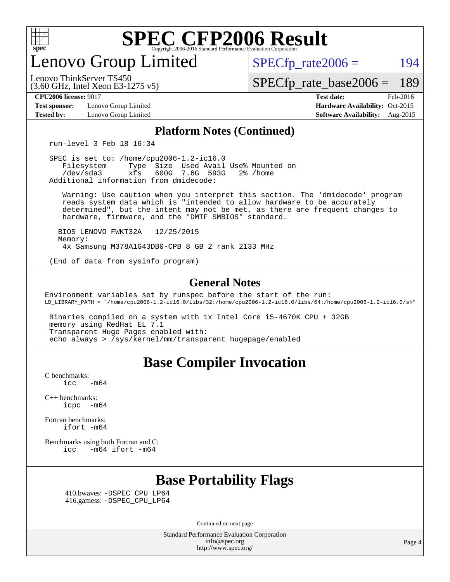

enovo Group Limited

 $SPECTp\_rate2006 = 194$ 

[SPECfp\\_rate\\_base2006 =](http://www.spec.org/auto/cpu2006/Docs/result-fields.html#SPECfpratebase2006) 189

(3.60 GHz, Intel Xeon E3-1275 v5) Lenovo ThinkServer TS450

**[Test sponsor:](http://www.spec.org/auto/cpu2006/Docs/result-fields.html#Testsponsor)** Lenovo Group Limited **[Hardware Availability:](http://www.spec.org/auto/cpu2006/Docs/result-fields.html#HardwareAvailability)** Oct-2015

**[CPU2006 license:](http://www.spec.org/auto/cpu2006/Docs/result-fields.html#CPU2006license)** 9017 **[Test date:](http://www.spec.org/auto/cpu2006/Docs/result-fields.html#Testdate)** Feb-2016 **[Tested by:](http://www.spec.org/auto/cpu2006/Docs/result-fields.html#Testedby)** Lenovo Group Limited **[Software Availability:](http://www.spec.org/auto/cpu2006/Docs/result-fields.html#SoftwareAvailability)** Aug-2015

#### **[Platform Notes \(Continued\)](http://www.spec.org/auto/cpu2006/Docs/result-fields.html#PlatformNotes)**

run-level 3 Feb 18 16:34

 SPEC is set to: /home/cpu2006-1.2-ic16.0 Filesystem Type Size Used Avail Use% Mounted on<br>
/dev/sda3 xfs 600G 7.6G 593G 2% /home 600G 7.6G 593G Additional information from dmidecode:

 Warning: Use caution when you interpret this section. The 'dmidecode' program reads system data which is "intended to allow hardware to be accurately determined", but the intent may not be met, as there are frequent changes to hardware, firmware, and the "DMTF SMBIOS" standard.

 BIOS LENOVO FWKT32A 12/25/2015 Memory: 4x Samsung M378A1G43DB0-CPB 8 GB 2 rank 2133 MHz

(End of data from sysinfo program)

#### **[General Notes](http://www.spec.org/auto/cpu2006/Docs/result-fields.html#GeneralNotes)**

Environment variables set by runspec before the start of the run: LD\_LIBRARY\_PATH = "/home/cpu2006-1.2-ic16.0/libs/32:/home/cpu2006-1.2-ic16.0/libs/64:/home/cpu2006-1.2-ic16.0/sh"

 Binaries compiled on a system with 1x Intel Core i5-4670K CPU + 32GB memory using RedHat EL 7.1 Transparent Huge Pages enabled with: echo always > /sys/kernel/mm/transparent\_hugepage/enabled

#### **[Base Compiler Invocation](http://www.spec.org/auto/cpu2006/Docs/result-fields.html#BaseCompilerInvocation)**

[C benchmarks](http://www.spec.org/auto/cpu2006/Docs/result-fields.html#Cbenchmarks):  $\text{icc}$  -m64

[C++ benchmarks:](http://www.spec.org/auto/cpu2006/Docs/result-fields.html#CXXbenchmarks) [icpc -m64](http://www.spec.org/cpu2006/results/res2016q1/cpu2006-20160222-39034.flags.html#user_CXXbase_intel_icpc_64bit_bedb90c1146cab66620883ef4f41a67e)

[Fortran benchmarks](http://www.spec.org/auto/cpu2006/Docs/result-fields.html#Fortranbenchmarks): [ifort -m64](http://www.spec.org/cpu2006/results/res2016q1/cpu2006-20160222-39034.flags.html#user_FCbase_intel_ifort_64bit_ee9d0fb25645d0210d97eb0527dcc06e)

[Benchmarks using both Fortran and C](http://www.spec.org/auto/cpu2006/Docs/result-fields.html#BenchmarksusingbothFortranandC): [icc -m64](http://www.spec.org/cpu2006/results/res2016q1/cpu2006-20160222-39034.flags.html#user_CC_FCbase_intel_icc_64bit_0b7121f5ab7cfabee23d88897260401c) [ifort -m64](http://www.spec.org/cpu2006/results/res2016q1/cpu2006-20160222-39034.flags.html#user_CC_FCbase_intel_ifort_64bit_ee9d0fb25645d0210d97eb0527dcc06e)

## **[Base Portability Flags](http://www.spec.org/auto/cpu2006/Docs/result-fields.html#BasePortabilityFlags)**

 410.bwaves: [-DSPEC\\_CPU\\_LP64](http://www.spec.org/cpu2006/results/res2016q1/cpu2006-20160222-39034.flags.html#suite_basePORTABILITY410_bwaves_DSPEC_CPU_LP64) 416.gamess: [-DSPEC\\_CPU\\_LP64](http://www.spec.org/cpu2006/results/res2016q1/cpu2006-20160222-39034.flags.html#suite_basePORTABILITY416_gamess_DSPEC_CPU_LP64)

Continued on next page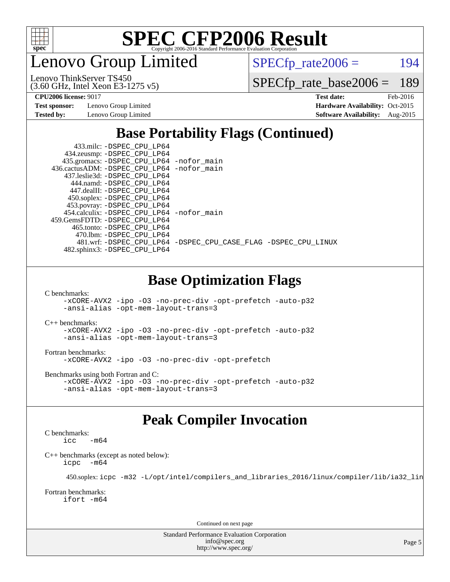

enovo Group Limited

 $SPECTp_rate2006 = 194$ 

(3.60 GHz, Intel Xeon E3-1275 v5) Lenovo ThinkServer TS450

[SPECfp\\_rate\\_base2006 =](http://www.spec.org/auto/cpu2006/Docs/result-fields.html#SPECfpratebase2006) 189

**[Test sponsor:](http://www.spec.org/auto/cpu2006/Docs/result-fields.html#Testsponsor)** Lenovo Group Limited **[Hardware Availability:](http://www.spec.org/auto/cpu2006/Docs/result-fields.html#HardwareAvailability)** Oct-2015

**[CPU2006 license:](http://www.spec.org/auto/cpu2006/Docs/result-fields.html#CPU2006license)** 9017 **[Test date:](http://www.spec.org/auto/cpu2006/Docs/result-fields.html#Testdate)** Feb-2016 **[Tested by:](http://www.spec.org/auto/cpu2006/Docs/result-fields.html#Testedby)** Lenovo Group Limited **[Software Availability:](http://www.spec.org/auto/cpu2006/Docs/result-fields.html#SoftwareAvailability)** Aug-2015

## **[Base Portability Flags \(Continued\)](http://www.spec.org/auto/cpu2006/Docs/result-fields.html#BasePortabilityFlags)**

| 433.milc: -DSPEC_CPU LP64                  |                                                                |
|--------------------------------------------|----------------------------------------------------------------|
| 434.zeusmp: -DSPEC_CPU_LP64                |                                                                |
| 435.gromacs: -DSPEC_CPU_LP64 -nofor_main   |                                                                |
| 436.cactusADM: -DSPEC CPU LP64 -nofor main |                                                                |
| 437.leslie3d: -DSPEC CPU LP64              |                                                                |
| 444.namd: -DSPEC CPU LP64                  |                                                                |
| 447.dealII: -DSPEC_CPU LP64                |                                                                |
| 450.soplex: -DSPEC_CPU_LP64                |                                                                |
| 453.povray: -DSPEC_CPU_LP64                |                                                                |
| 454.calculix: -DSPEC_CPU_LP64 -nofor_main  |                                                                |
| 459. GemsFDTD: - DSPEC CPU LP64            |                                                                |
| 465.tonto: - DSPEC CPU LP64                |                                                                |
| 470.1bm: - DSPEC CPU LP64                  |                                                                |
|                                            | 481.wrf: -DSPEC CPU_LP64 -DSPEC_CPU_CASE_FLAG -DSPEC_CPU_LINUX |
| 482.sphinx3: -DSPEC_CPU_LP64               |                                                                |
|                                            |                                                                |
|                                            |                                                                |

### **[Base Optimization Flags](http://www.spec.org/auto/cpu2006/Docs/result-fields.html#BaseOptimizationFlags)**

[C benchmarks](http://www.spec.org/auto/cpu2006/Docs/result-fields.html#Cbenchmarks):

[-xCORE-AVX2](http://www.spec.org/cpu2006/results/res2016q1/cpu2006-20160222-39034.flags.html#user_CCbase_f-xAVX2_5f5fc0cbe2c9f62c816d3e45806c70d7) [-ipo](http://www.spec.org/cpu2006/results/res2016q1/cpu2006-20160222-39034.flags.html#user_CCbase_f-ipo) [-O3](http://www.spec.org/cpu2006/results/res2016q1/cpu2006-20160222-39034.flags.html#user_CCbase_f-O3) [-no-prec-div](http://www.spec.org/cpu2006/results/res2016q1/cpu2006-20160222-39034.flags.html#user_CCbase_f-no-prec-div) [-opt-prefetch](http://www.spec.org/cpu2006/results/res2016q1/cpu2006-20160222-39034.flags.html#user_CCbase_f-opt-prefetch) [-auto-p32](http://www.spec.org/cpu2006/results/res2016q1/cpu2006-20160222-39034.flags.html#user_CCbase_f-auto-p32) [-ansi-alias](http://www.spec.org/cpu2006/results/res2016q1/cpu2006-20160222-39034.flags.html#user_CCbase_f-ansi-alias) [-opt-mem-layout-trans=3](http://www.spec.org/cpu2006/results/res2016q1/cpu2006-20160222-39034.flags.html#user_CCbase_f-opt-mem-layout-trans_a7b82ad4bd7abf52556d4961a2ae94d5)

[C++ benchmarks:](http://www.spec.org/auto/cpu2006/Docs/result-fields.html#CXXbenchmarks)

[-xCORE-AVX2](http://www.spec.org/cpu2006/results/res2016q1/cpu2006-20160222-39034.flags.html#user_CXXbase_f-xAVX2_5f5fc0cbe2c9f62c816d3e45806c70d7) [-ipo](http://www.spec.org/cpu2006/results/res2016q1/cpu2006-20160222-39034.flags.html#user_CXXbase_f-ipo) [-O3](http://www.spec.org/cpu2006/results/res2016q1/cpu2006-20160222-39034.flags.html#user_CXXbase_f-O3) [-no-prec-div](http://www.spec.org/cpu2006/results/res2016q1/cpu2006-20160222-39034.flags.html#user_CXXbase_f-no-prec-div) [-opt-prefetch](http://www.spec.org/cpu2006/results/res2016q1/cpu2006-20160222-39034.flags.html#user_CXXbase_f-opt-prefetch) [-auto-p32](http://www.spec.org/cpu2006/results/res2016q1/cpu2006-20160222-39034.flags.html#user_CXXbase_f-auto-p32) [-ansi-alias](http://www.spec.org/cpu2006/results/res2016q1/cpu2006-20160222-39034.flags.html#user_CXXbase_f-ansi-alias) [-opt-mem-layout-trans=3](http://www.spec.org/cpu2006/results/res2016q1/cpu2006-20160222-39034.flags.html#user_CXXbase_f-opt-mem-layout-trans_a7b82ad4bd7abf52556d4961a2ae94d5)

[Fortran benchmarks](http://www.spec.org/auto/cpu2006/Docs/result-fields.html#Fortranbenchmarks): [-xCORE-AVX2](http://www.spec.org/cpu2006/results/res2016q1/cpu2006-20160222-39034.flags.html#user_FCbase_f-xAVX2_5f5fc0cbe2c9f62c816d3e45806c70d7) [-ipo](http://www.spec.org/cpu2006/results/res2016q1/cpu2006-20160222-39034.flags.html#user_FCbase_f-ipo) [-O3](http://www.spec.org/cpu2006/results/res2016q1/cpu2006-20160222-39034.flags.html#user_FCbase_f-O3) [-no-prec-div](http://www.spec.org/cpu2006/results/res2016q1/cpu2006-20160222-39034.flags.html#user_FCbase_f-no-prec-div) [-opt-prefetch](http://www.spec.org/cpu2006/results/res2016q1/cpu2006-20160222-39034.flags.html#user_FCbase_f-opt-prefetch)

[Benchmarks using both Fortran and C](http://www.spec.org/auto/cpu2006/Docs/result-fields.html#BenchmarksusingbothFortranandC): [-xCORE-AVX2](http://www.spec.org/cpu2006/results/res2016q1/cpu2006-20160222-39034.flags.html#user_CC_FCbase_f-xAVX2_5f5fc0cbe2c9f62c816d3e45806c70d7) [-ipo](http://www.spec.org/cpu2006/results/res2016q1/cpu2006-20160222-39034.flags.html#user_CC_FCbase_f-ipo) [-O3](http://www.spec.org/cpu2006/results/res2016q1/cpu2006-20160222-39034.flags.html#user_CC_FCbase_f-O3) [-no-prec-div](http://www.spec.org/cpu2006/results/res2016q1/cpu2006-20160222-39034.flags.html#user_CC_FCbase_f-no-prec-div) [-opt-prefetch](http://www.spec.org/cpu2006/results/res2016q1/cpu2006-20160222-39034.flags.html#user_CC_FCbase_f-opt-prefetch) [-auto-p32](http://www.spec.org/cpu2006/results/res2016q1/cpu2006-20160222-39034.flags.html#user_CC_FCbase_f-auto-p32) [-ansi-alias](http://www.spec.org/cpu2006/results/res2016q1/cpu2006-20160222-39034.flags.html#user_CC_FCbase_f-ansi-alias) [-opt-mem-layout-trans=3](http://www.spec.org/cpu2006/results/res2016q1/cpu2006-20160222-39034.flags.html#user_CC_FCbase_f-opt-mem-layout-trans_a7b82ad4bd7abf52556d4961a2ae94d5)

## **[Peak Compiler Invocation](http://www.spec.org/auto/cpu2006/Docs/result-fields.html#PeakCompilerInvocation)**

[C benchmarks](http://www.spec.org/auto/cpu2006/Docs/result-fields.html#Cbenchmarks):  $-m64$ 

[C++ benchmarks \(except as noted below\):](http://www.spec.org/auto/cpu2006/Docs/result-fields.html#CXXbenchmarksexceptasnotedbelow) [icpc -m64](http://www.spec.org/cpu2006/results/res2016q1/cpu2006-20160222-39034.flags.html#user_CXXpeak_intel_icpc_64bit_bedb90c1146cab66620883ef4f41a67e)

450.soplex: [icpc -m32 -L/opt/intel/compilers\\_and\\_libraries\\_2016/linux/compiler/lib/ia32\\_lin](http://www.spec.org/cpu2006/results/res2016q1/cpu2006-20160222-39034.flags.html#user_peakCXXLD450_soplex_intel_icpc_b4f50a394bdb4597aa5879c16bc3f5c5)

[Fortran benchmarks](http://www.spec.org/auto/cpu2006/Docs/result-fields.html#Fortranbenchmarks): [ifort -m64](http://www.spec.org/cpu2006/results/res2016q1/cpu2006-20160222-39034.flags.html#user_FCpeak_intel_ifort_64bit_ee9d0fb25645d0210d97eb0527dcc06e)

Continued on next page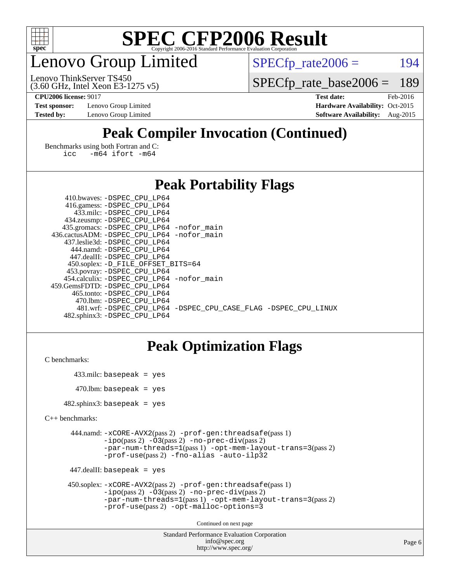

## enovo Group Limited

 $SPECTp_rate2006 = 194$ 

(3.60 GHz, Intel Xeon E3-1275 v5) Lenovo ThinkServer TS450

[SPECfp\\_rate\\_base2006 =](http://www.spec.org/auto/cpu2006/Docs/result-fields.html#SPECfpratebase2006) 189

**[Test sponsor:](http://www.spec.org/auto/cpu2006/Docs/result-fields.html#Testsponsor)** Lenovo Group Limited **[Hardware Availability:](http://www.spec.org/auto/cpu2006/Docs/result-fields.html#HardwareAvailability)** Oct-2015

**[CPU2006 license:](http://www.spec.org/auto/cpu2006/Docs/result-fields.html#CPU2006license)** 9017 **[Test date:](http://www.spec.org/auto/cpu2006/Docs/result-fields.html#Testdate)** Feb-2016 **[Tested by:](http://www.spec.org/auto/cpu2006/Docs/result-fields.html#Testedby)** Lenovo Group Limited **[Software Availability:](http://www.spec.org/auto/cpu2006/Docs/result-fields.html#SoftwareAvailability)** Aug-2015

## **[Peak Compiler Invocation \(Continued\)](http://www.spec.org/auto/cpu2006/Docs/result-fields.html#PeakCompilerInvocation)**

[Benchmarks using both Fortran and C](http://www.spec.org/auto/cpu2006/Docs/result-fields.html#BenchmarksusingbothFortranandC): [icc -m64](http://www.spec.org/cpu2006/results/res2016q1/cpu2006-20160222-39034.flags.html#user_CC_FCpeak_intel_icc_64bit_0b7121f5ab7cfabee23d88897260401c) [ifort -m64](http://www.spec.org/cpu2006/results/res2016q1/cpu2006-20160222-39034.flags.html#user_CC_FCpeak_intel_ifort_64bit_ee9d0fb25645d0210d97eb0527dcc06e)

#### **[Peak Portability Flags](http://www.spec.org/auto/cpu2006/Docs/result-fields.html#PeakPortabilityFlags)**

| 410.bwaves: -DSPEC CPU LP64                                    |  |
|----------------------------------------------------------------|--|
| 416.gamess: -DSPEC_CPU_LP64                                    |  |
| 433.milc: -DSPEC CPU LP64                                      |  |
| 434.zeusmp: -DSPEC_CPU_LP64                                    |  |
| 435.gromacs: -DSPEC_CPU_LP64 -nofor_main                       |  |
| 436.cactusADM: -DSPEC CPU LP64 -nofor main                     |  |
| 437.leslie3d: -DSPEC CPU LP64                                  |  |
| 444.namd: - DSPEC_CPU LP64                                     |  |
| 447.dealII: -DSPEC CPU LP64                                    |  |
| 450.soplex: -D_FILE_OFFSET_BITS=64                             |  |
| 453.povray: -DSPEC_CPU_LP64                                    |  |
| 454.calculix: - DSPEC CPU LP64 - nofor main                    |  |
| 459.GemsFDTD: -DSPEC CPU LP64                                  |  |
| 465.tonto: -DSPEC CPU LP64                                     |  |
| 470.1bm: - DSPEC CPU LP64                                      |  |
| 481.wrf: -DSPEC CPU_LP64 -DSPEC_CPU_CASE_FLAG -DSPEC_CPU_LINUX |  |
| 482.sphinx3: -DSPEC CPU LP64                                   |  |

### **[Peak Optimization Flags](http://www.spec.org/auto/cpu2006/Docs/result-fields.html#PeakOptimizationFlags)**

```
C benchmarks:
```

```
 433.milc: basepeak = yes
470.lbm: basepeak = yes
```
482.sphinx3: basepeak = yes

```
C++ benchmarks:
```

```
 444.namd: -xCORE-AVX2(pass 2) -prof-gen:threadsafe(pass 1)
         -i\text{po}(pass 2) -\overline{O}3(pass 2)-no-prec-div(pass 2)
         -par-num-threads=1(pass 1) -opt-mem-layout-trans=3(pass 2)
         -prof-use(pass 2) -fno-alias -auto-ilp32
```

```
 447.dealII: basepeak = yes
```

```
 450.soplex: -xCORE-AVX2(pass 2) -prof-gen:threadsafe(pass 1)
         -ipo(pass 2) -O3(pass 2) -no-prec-div(pass 2)
         -par-num-threads=1(pass 1) -opt-mem-layout-trans=3(pass 2)
         -prof-use(pass 2) -opt-malloc-options=3
```
Continued on next page

```
Standard Performance Evaluation Corporation
              info@spec.org
           http://www.spec.org/
```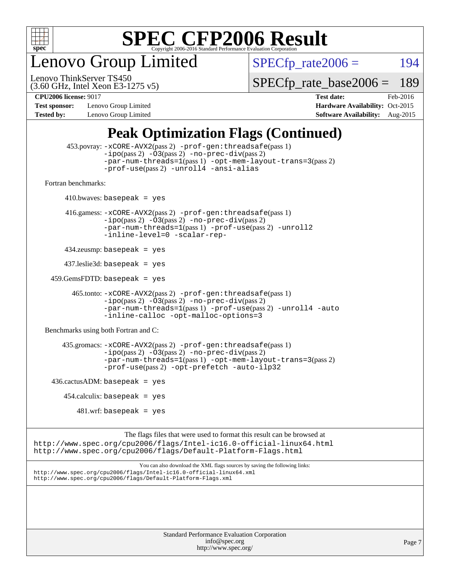

enovo Group Limited

 $SPECTp_rate2006 = 194$ 

(3.60 GHz, Intel Xeon E3-1275 v5) Lenovo ThinkServer TS450

[SPECfp\\_rate\\_base2006 =](http://www.spec.org/auto/cpu2006/Docs/result-fields.html#SPECfpratebase2006) 189

**[Test sponsor:](http://www.spec.org/auto/cpu2006/Docs/result-fields.html#Testsponsor)** Lenovo Group Limited **[Hardware Availability:](http://www.spec.org/auto/cpu2006/Docs/result-fields.html#HardwareAvailability)** Oct-2015 **[Tested by:](http://www.spec.org/auto/cpu2006/Docs/result-fields.html#Testedby)** Lenovo Group Limited **[Software Availability:](http://www.spec.org/auto/cpu2006/Docs/result-fields.html#SoftwareAvailability)** Aug-2015

**[CPU2006 license:](http://www.spec.org/auto/cpu2006/Docs/result-fields.html#CPU2006license)** 9017 **[Test date:](http://www.spec.org/auto/cpu2006/Docs/result-fields.html#Testdate)** Feb-2016

## **[Peak Optimization Flags \(Continued\)](http://www.spec.org/auto/cpu2006/Docs/result-fields.html#PeakOptimizationFlags)**

```
 453.povray: -xCORE-AVX2(pass 2) -prof-gen:threadsafe(pass 1)
                   -i\text{po}(pass 2) -\overset{\sim}{O}3(pass 2)-no-prec-div(pass 2)
                   -par-num-threads=1(pass 1) -opt-mem-layout-trans=3(pass 2)
                   -prof-use(pass 2) -unroll4 -ansi-alias
   Fortran benchmarks: 
        410.bwaves: basepeak = yes 416.gamess: -xCORE-AVX2(pass 2) -prof-gen:threadsafe(pass 1)
                   -ipo(pass 2) -O3(pass 2) -no-prec-div(pass 2)
                   -par-num-threads=1(pass 1) -prof-use(pass 2) -unroll2
                   -inline-level=0 -scalar-rep-
         434.zeusmp: basepeak = yes
         437.leslie3d: basepeak = yes
     459.GemsFDTD: basepeak = yes
           465.tonto: -xCORE-AVX2(pass 2) -prof-gen:threadsafe(pass 1)
                   -i\text{po}(pass 2) -03(pass 2)-no-prec-div(pass 2)
                   -par-num-threads=1(pass 1) -prof-use(pass 2) -unroll4 -auto
                   -inline-calloc -opt-malloc-options=3
   Benchmarks using both Fortran and C: 
         435.gromacs: -xCORE-AVX2(pass 2) -prof-gen:threadsafe(pass 1)
                   -i\text{po}(pass 2) -\tilde{O}3(pass 2)-no-prec-div(pass 2)
                   -par-num-threads=1(pass 1) -opt-mem-layout-trans=3(pass 2)
                   -prof-use(pass 2) -opt-prefetch -auto-ilp32
    436.cactusADM:basepeak = yes454.calculix: basepeak = yes
            481 \text{.m}: basepeak = yes
                         The flags files that were used to format this result can be browsed at
http://www.spec.org/cpu2006/flags/Intel-ic16.0-official-linux64.html
http://www.spec.org/cpu2006/flags/Default-Platform-Flags.html
                             You can also download the XML flags sources by saving the following links:
http://www.spec.org/cpu2006/flags/Intel-ic16.0-official-linux64.xml
http://www.spec.org/cpu2006/flags/Default-Platform-Flags.xml
```